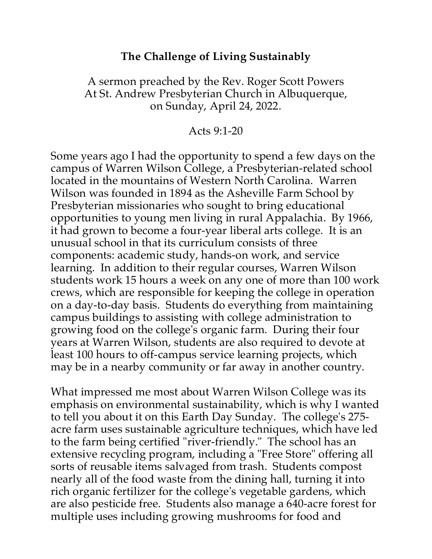## **The Challenge of Living Sustainably**

### A sermon preached by the Rev. Roger Scott Powers At St. Andrew Presbyterian Church in Albuquerque, on Sunday, April 24, 2022.

#### Acts 9:1-20

Some years ago I had the opportunity to spend a few days on the campus of Warren Wilson College, a Presbyterian-related school located in the mountains of Western North Carolina. Warren Wilson was founded in 1894 as the Asheville Farm School by Presbyterian missionaries who sought to bring educational opportunities to young men living in rural Appalachia. By 1966, it had grown to become a four-year liberal arts college. It is an unusual school in that its curriculum consists of three components: academic study, hands-on work, and service learning. In addition to their regular courses, Warren Wilson students work 15 hours a week on any one of more than 100 work crews, which are responsible for keeping the college in operation on a day-to-day basis. Students do everything from maintaining campus buildings to assisting with college administration to growing food on the college's organic farm. During their four years at Warren Wilson, students are also required to devote at least 100 hours to off-campus service learning projects, which may be in a nearby community or far away in another country.

What impressed me most about Warren Wilson College was its emphasis on environmental sustainability, which is why I wanted to tell you about it on this Earth Day Sunday. The college's 275 acre farm uses sustainable agriculture techniques, which have led to the farm being certified "river-friendly." The school has an extensive recycling program, including a "Free Store" offering all sorts of reusable items salvaged from trash. Students compost nearly all of the food waste from the dining hall, turning it into rich organic fertilizer for the college's vegetable gardens, which are also pesticide free. Students also manage a 640-acre forest for multiple uses including growing mushrooms for food and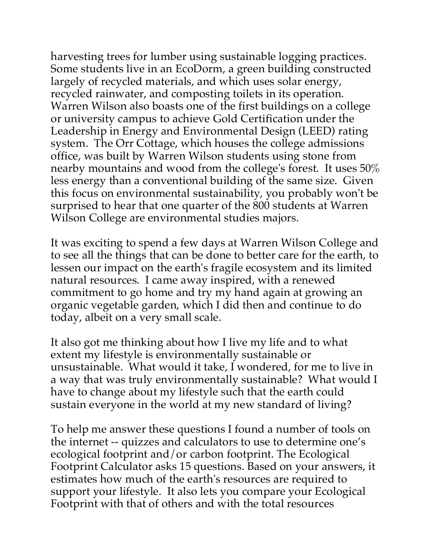harvesting trees for lumber using sustainable logging practices. Some students live in an EcoDorm, a green building constructed largely of recycled materials, and which uses solar energy, recycled rainwater, and composting toilets in its operation. Warren Wilson also boasts one of the first buildings on a college or university campus to achieve Gold Certification under the Leadership in Energy and Environmental Design (LEED) rating system. The Orr Cottage, which houses the college admissions office, was built by Warren Wilson students using stone from nearby mountains and wood from the college's forest. It uses 50% less energy than a conventional building of the same size. Given this focus on environmental sustainability, you probably won't be surprised to hear that one quarter of the 800 students at Warren Wilson College are environmental studies majors.

It was exciting to spend a few days at Warren Wilson College and to see all the things that can be done to better care for the earth, to lessen our impact on the earth's fragile ecosystem and its limited natural resources. I came away inspired, with a renewed commitment to go home and try my hand again at growing an organic vegetable garden, which I did then and continue to do today, albeit on a very small scale.

It also got me thinking about how I live my life and to what extent my lifestyle is environmentally sustainable or unsustainable. What would it take, I wondered, for me to live in a way that was truly environmentally sustainable? What would I have to change about my lifestyle such that the earth could sustain everyone in the world at my new standard of living?

To help me answer these questions I found a number of tools on the internet -- quizzes and calculators to use to determine one's ecological footprint and/or carbon footprint. The Ecological Footprint Calculator asks 15 questions. Based on your answers, it estimates how much of the earth's resources are required to support your lifestyle. It also lets you compare your Ecological Footprint with that of others and with the total resources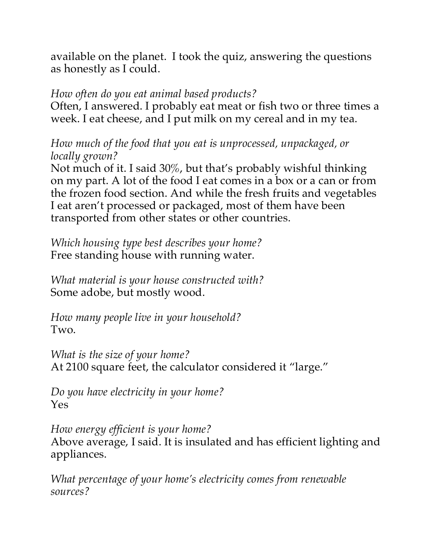available on the planet. I took the quiz, answering the questions as honestly as I could.

# *How often do you eat animal based products?*

Often, I answered. I probably eat meat or fish two or three times a week. I eat cheese, and I put milk on my cereal and in my tea.

*How much of the food that you eat is unprocessed, unpackaged, or locally grown?* 

Not much of it. I said 30%, but that's probably wishful thinking on my part. A lot of the food I eat comes in a box or a can or from the frozen food section. And while the fresh fruits and vegetables I eat aren't processed or packaged, most of them have been transported from other states or other countries.

*Which housing type best describes your home?*  Free standing house with running water.

*What material is your house constructed with?* Some adobe, but mostly wood.

*How many people live in your household?*  Two.

*What is the size of your home?*  At 2100 square feet, the calculator considered it "large."

*Do you have electricity in your home?*  Yes

*How energy efficient is your home?* Above average, I said. It is insulated and has efficient lighting and appliances.

*What percentage of your home's electricity comes from renewable sources?*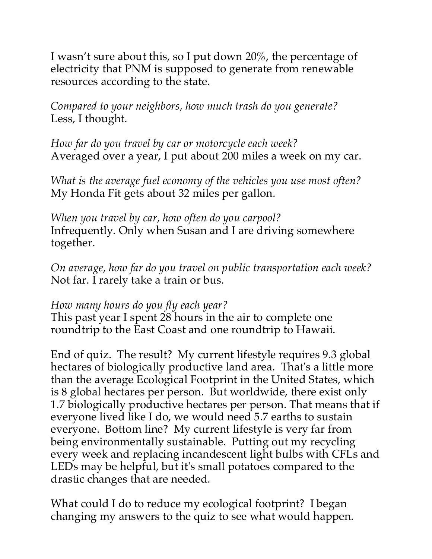I wasn't sure about this, so I put down 20%, the percentage of electricity that PNM is supposed to generate from renewable resources according to the state.

*Compared to your neighbors, how much trash do you generate?* Less, I thought.

*How far do you travel by car or motorcycle each week?* Averaged over a year, I put about 200 miles a week on my car.

*What is the average fuel economy of the vehicles you use most often?* My Honda Fit gets about 32 miles per gallon.

*When you travel by car, how often do you carpool?* Infrequently. Only when Susan and I are driving somewhere together.

*On average, how far do you travel on public transportation each week?*  Not far. I rarely take a train or bus.

#### *How many hours do you fly each year?*

This past year I spent 28 hours in the air to complete one roundtrip to the East Coast and one roundtrip to Hawaii.

End of quiz. The result? My current lifestyle requires 9.3 global hectares of biologically productive land area. That's a little more than the average Ecological Footprint in the United States, which is 8 global hectares per person. But worldwide, there exist only 1.7 biologically productive hectares per person. That means that if everyone lived like I do, we would need 5.7 earths to sustain everyone. Bottom line? My current lifestyle is very far from being environmentally sustainable. Putting out my recycling every week and replacing incandescent light bulbs with CFLs and LEDs may be helpful, but it's small potatoes compared to the drastic changes that are needed.

What could I do to reduce my ecological footprint? I began changing my answers to the quiz to see what would happen.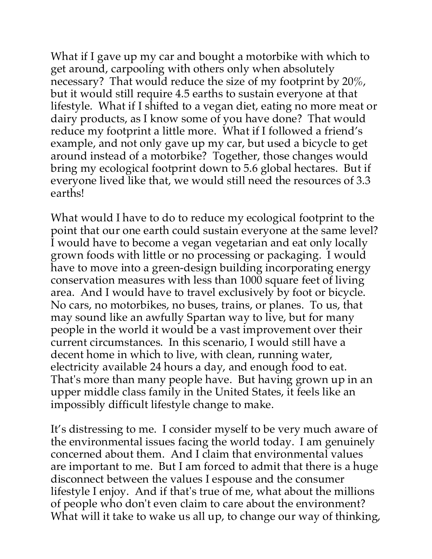What if I gave up my car and bought a motorbike with which to get around, carpooling with others only when absolutely necessary? That would reduce the size of my footprint by 20%, but it would still require 4.5 earths to sustain everyone at that lifestyle. What if I shifted to a vegan diet, eating no more meat or dairy products, as I know some of you have done? That would reduce my footprint a little more. What if I followed a friend's example, and not only gave up my car, but used a bicycle to get around instead of a motorbike? Together, those changes would bring my ecological footprint down to 5.6 global hectares. But if everyone lived like that, we would still need the resources of 3.3 earths!

What would I have to do to reduce my ecological footprint to the point that our one earth could sustain everyone at the same level? I would have to become a vegan vegetarian and eat only locally grown foods with little or no processing or packaging. I would have to move into a green-design building incorporating energy conservation measures with less than 1000 square feet of living area. And I would have to travel exclusively by foot or bicycle. No cars, no motorbikes, no buses, trains, or planes. To us, that may sound like an awfully Spartan way to live, but for many people in the world it would be a vast improvement over their current circumstances. In this scenario, I would still have a decent home in which to live, with clean, running water, electricity available 24 hours a day, and enough food to eat. That's more than many people have. But having grown up in an upper middle class family in the United States, it feels like an impossibly difficult lifestyle change to make.

It's distressing to me. I consider myself to be very much aware of the environmental issues facing the world today. I am genuinely concerned about them. And I claim that environmental values are important to me. But I am forced to admit that there is a huge disconnect between the values I espouse and the consumer lifestyle I enjoy. And if that's true of me, what about the millions of people who don't even claim to care about the environment? What will it take to wake us all up, to change our way of thinking,